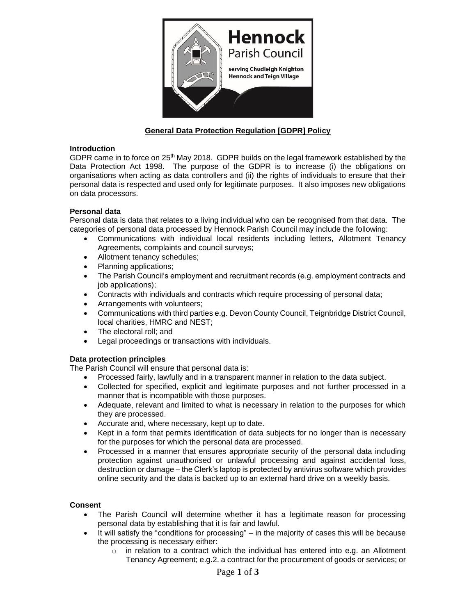

# **General Data Protection Regulation [GDPR] Policy**

#### **Introduction**

GDPR came in to force on  $25<sup>th</sup>$  May 2018. GDPR builds on the legal framework established by the Data Protection Act 1998. The purpose of the GDPR is to increase (i) the obligations on organisations when acting as data controllers and (ii) the rights of individuals to ensure that their personal data is respected and used only for legitimate purposes. It also imposes new obligations on data processors.

## **Personal data**

Personal data is data that relates to a living individual who can be recognised from that data. The categories of personal data processed by Hennock Parish Council may include the following:

- Communications with individual local residents including letters, Allotment Tenancy Agreements, complaints and council surveys;
- Allotment tenancy schedules;
- Planning applications;
- The Parish Council's employment and recruitment records (e.g. employment contracts and job applications);
- Contracts with individuals and contracts which require processing of personal data;
- Arrangements with volunteers;
- Communications with third parties e.g. Devon County Council, Teignbridge District Council, local charities, HMRC and NEST;
- The electoral roll; and
- Legal proceedings or transactions with individuals.

## **Data protection principles**

The Parish Council will ensure that personal data is:

- Processed fairly, lawfully and in a transparent manner in relation to the data subject.
- Collected for specified, explicit and legitimate purposes and not further processed in a manner that is incompatible with those purposes.
- Adequate, relevant and limited to what is necessary in relation to the purposes for which they are processed.
- Accurate and, where necessary, kept up to date.
- Kept in a form that permits identification of data subjects for no longer than is necessary for the purposes for which the personal data are processed.
- Processed in a manner that ensures appropriate security of the personal data including protection against unauthorised or unlawful processing and against accidental loss, destruction or damage – the Clerk's laptop is protected by antivirus software which provides online security and the data is backed up to an external hard drive on a weekly basis.

#### **Consent**

- The Parish Council will determine whether it has a legitimate reason for processing personal data by establishing that it is fair and lawful.
- It will satisfy the "conditions for processing"  $-$  in the majority of cases this will be because the processing is necessary either:
	- $\circ$  in relation to a contract which the individual has entered into e.g. an Allotment Tenancy Agreement; e.g.2. a contract for the procurement of goods or services; or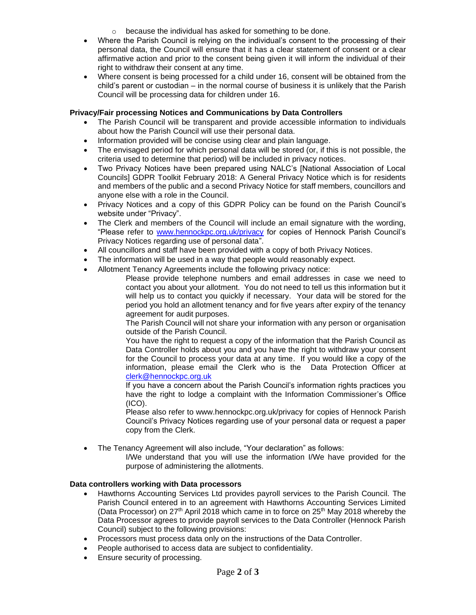- o because the individual has asked for something to be done.
- Where the Parish Council is relying on the individual's consent to the processing of their personal data, the Council will ensure that it has a clear statement of consent or a clear affirmative action and prior to the consent being given it will inform the individual of their right to withdraw their consent at any time.
- Where consent is being processed for a child under 16, consent will be obtained from the child's parent or custodian – in the normal course of business it is unlikely that the Parish Council will be processing data for children under 16.

# **Privacy/Fair processing Notices and Communications by Data Controllers**

- The Parish Council will be transparent and provide accessible information to individuals about how the Parish Council will use their personal data.
- Information provided will be concise using clear and plain language.
- The envisaged period for which personal data will be stored (or, if this is not possible, the criteria used to determine that period) will be included in privacy notices.
- Two Privacy Notices have been prepared using NALC's [National Association of Local Councils] GDPR Toolkit February 2018: A General Privacy Notice which is for residents and members of the public and a second Privacy Notice for staff members, councillors and anyone else with a role in the Council.
- Privacy Notices and a copy of this GDPR Policy can be found on the Parish Council's website under "Privacy".
- The Clerk and members of the Council will include an email signature with the wording, "Please refer to [www.hennockpc.org.uk/privacy](http://www.hennockpc.org.uk/privacy) for copies of Hennock Parish Council's Privacy Notices regarding use of personal data".
- All councillors and staff have been provided with a copy of both Privacy Notices.
- The information will be used in a way that people would reasonably expect.
- Allotment Tenancy Agreements include the following privacy notice:

Please provide telephone numbers and email addresses in case we need to contact you about your allotment. You do not need to tell us this information but it will help us to contact you quickly if necessary. Your data will be stored for the period you hold an allotment tenancy and for five years after expiry of the tenancy agreement for audit purposes.

The Parish Council will not share your information with any person or organisation outside of the Parish Council.

You have the right to request a copy of the information that the Parish Council as Data Controller holds about you and you have the right to withdraw your consent for the Council to process your data at any time. If you would like a copy of the information, please email the Clerk who is the Data Protection Officer at [clerk@hennockpc.org.uk](mailto:clerk@hennockpc.org.uk)

If you have a concern about the Parish Council's information rights practices you have the right to lodge a complaint with the Information Commissioner's Office  $(ICO).$ 

Please also refer to www.hennockpc.org.uk/privacy for copies of Hennock Parish Council's Privacy Notices regarding use of your personal data or request a paper copy from the Clerk.

• The Tenancy Agreement will also include, "Your declaration" as follows:

I/We understand that you will use the information I/We have provided for the purpose of administering the allotments.

## **Data controllers working with Data processors**

- Hawthorns Accounting Services Ltd provides payroll services to the Parish Council. The Parish Council entered in to an agreement with Hawthorns Accounting Services Limited (Data Processor) on 27<sup>th</sup> April 2018 which came in to force on 25<sup>th</sup> May 2018 whereby the Data Processor agrees to provide payroll services to the Data Controller (Hennock Parish Council) subject to the following provisions:
- Processors must process data only on the instructions of the Data Controller.
- People authorised to access data are subject to confidentiality.
- Ensure security of processing.